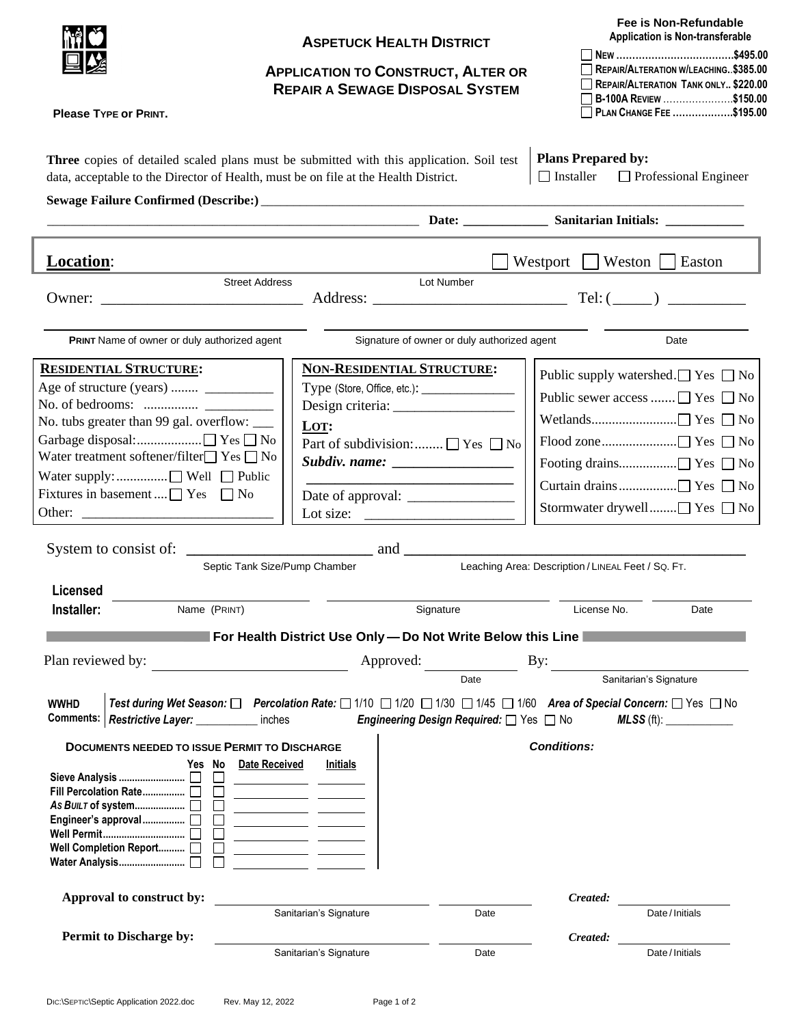|                                                              | <b>ASPETUCK HEALTH DISTRICT</b>                                                                                                                                                                                                                                                                                                                  | Fee is Non-Refundable<br><b>Application is Non-transferable</b>                                                                                   |  |
|--------------------------------------------------------------|--------------------------------------------------------------------------------------------------------------------------------------------------------------------------------------------------------------------------------------------------------------------------------------------------------------------------------------------------|---------------------------------------------------------------------------------------------------------------------------------------------------|--|
|                                                              | <b>APPLICATION TO CONSTRUCT, ALTER OR</b><br><b>REPAIR A SEWAGE DISPOSAL SYSTEM</b>                                                                                                                                                                                                                                                              | REPAIR/ALTERATION W/LEACHING. \$385.00<br>REPAIR/ALTERATION TANK ONLY \$220.00<br>B-100A REVIEW \$150.00                                          |  |
| <b>Please TYPE OF PRINT.</b>                                 |                                                                                                                                                                                                                                                                                                                                                  | PLAN CHANGE FEE \$195.00                                                                                                                          |  |
|                                                              | Three copies of detailed scaled plans must be submitted with this application. Soil test<br>data, acceptable to the Director of Health, must be on file at the Health District.                                                                                                                                                                  | <b>Plans Prepared by:</b><br>$\Box$ Installer<br>$\Box$ Professional Engineer                                                                     |  |
|                                                              |                                                                                                                                                                                                                                                                                                                                                  |                                                                                                                                                   |  |
| <b>Location:</b>                                             |                                                                                                                                                                                                                                                                                                                                                  | Westport     Weston   Easton                                                                                                                      |  |
| Owner: $\frac{1}{\sqrt{1-\frac{1}{2}} \cdot \frac{1}{2}}$    | <b>Street Address</b><br>Lot Number                                                                                                                                                                                                                                                                                                              |                                                                                                                                                   |  |
| PRINT Name of owner or duly authorized agent                 | Signature of owner or duly authorized agent                                                                                                                                                                                                                                                                                                      | Date                                                                                                                                              |  |
| <b>RESIDENTIAL STRUCTURE:</b>                                | NON-RESIDENTIAL STRUCTURE:                                                                                                                                                                                                                                                                                                                       | Public supply watershed. $\Box$ Yes $\Box$ No                                                                                                     |  |
| Age of structure (years)                                     |                                                                                                                                                                                                                                                                                                                                                  | Public sewer access  □ Yes □ No                                                                                                                   |  |
|                                                              |                                                                                                                                                                                                                                                                                                                                                  |                                                                                                                                                   |  |
| No. tubs greater than 99 gal. overflow: _____<br>LOT:        |                                                                                                                                                                                                                                                                                                                                                  |                                                                                                                                                   |  |
|                                                              | Part of subdivision: $\Box$ Yes $\Box$ No                                                                                                                                                                                                                                                                                                        |                                                                                                                                                   |  |
| Water treatment softener/filter $\Box$ Yes $\Box$ No         | Subdiv. name: __________________                                                                                                                                                                                                                                                                                                                 |                                                                                                                                                   |  |
| Water supply:  □ Well □ Public                               |                                                                                                                                                                                                                                                                                                                                                  |                                                                                                                                                   |  |
| Fixtures in basement $\Box$ Yes $\Box$ No                    |                                                                                                                                                                                                                                                                                                                                                  |                                                                                                                                                   |  |
|                                                              | Lot size: $\frac{1}{\sqrt{1-\frac{1}{2}} \cdot \frac{1}{2}}$                                                                                                                                                                                                                                                                                     | Stormwater drywell□ Yes □ No                                                                                                                      |  |
|                                                              |                                                                                                                                                                                                                                                                                                                                                  |                                                                                                                                                   |  |
|                                                              | $\frac{1}{\sqrt{1-\frac{1}{2}}}\text{ and } \frac{1}{\sqrt{1-\frac{1}{2}}\text{ and } \frac{1}{\sqrt{1-\frac{1}{2}}\text{ and } \frac{1}{\sqrt{1-\frac{1}{2}}\text{ and } \frac{1}{\sqrt{1-\frac{1}{2}}\text{ and } \frac{1}{\sqrt{1-\frac{1}{2}}\text{ and } \frac{1}{\sqrt{1-\frac{1}{2}}\text{ and } \frac{1}{\sqrt{1-\frac{1}{2}}\text{.}}}$ |                                                                                                                                                   |  |
|                                                              | Septic Tank Size/Pump Chamber                                                                                                                                                                                                                                                                                                                    | Leaching Area: Description / LINEAL Feet / SQ. FT.                                                                                                |  |
| <b>Licensed</b>                                              |                                                                                                                                                                                                                                                                                                                                                  |                                                                                                                                                   |  |
| Installer:<br>Name (PRINT)                                   | Signature                                                                                                                                                                                                                                                                                                                                        | License No.<br>Date                                                                                                                               |  |
|                                                              | For Health District Use Only - Do Not Write Below this Line                                                                                                                                                                                                                                                                                      |                                                                                                                                                   |  |
|                                                              |                                                                                                                                                                                                                                                                                                                                                  |                                                                                                                                                   |  |
| Plan reviewed by:                                            | Approved:                                                                                                                                                                                                                                                                                                                                        | By:                                                                                                                                               |  |
|                                                              | Date                                                                                                                                                                                                                                                                                                                                             | Sanitarian's Signature                                                                                                                            |  |
| <b>WWHD</b><br><b>Comments:</b><br><b>Restrictive Layer:</b> | inches<br>Engineering Design Required: <sup>1</sup> Yes <sup>1</sup> No                                                                                                                                                                                                                                                                          | Test during Wet Season: □ Percolation Rate: □ 1/10 □ 1/20 □ 1/30 □ 1/45 □ 1/60 Area of Special Concern: □ Yes □ No<br>$MLSS$ (ft): ______________ |  |
| <b>DOCUMENTS NEEDED TO ISSUE PERMIT TO DISCHARGE</b>         |                                                                                                                                                                                                                                                                                                                                                  | <b>Conditions:</b>                                                                                                                                |  |
| Yes No                                                       | Date Received<br><b>Initials</b>                                                                                                                                                                                                                                                                                                                 |                                                                                                                                                   |  |
| Fill Percolation Rate                                        | <u> 1989 - John Harry John Harry Harry Harry Harry Harry Harry Harry Harry Harry Harry Harry Harry Harry Harry Harry Harry Harry Harry Harry Harry Harry Harry Harry Harry Harry Harry Harry Harry Harry Harry Harry Harry Harry</u>                                                                                                             |                                                                                                                                                   |  |
|                                                              |                                                                                                                                                                                                                                                                                                                                                  |                                                                                                                                                   |  |
|                                                              |                                                                                                                                                                                                                                                                                                                                                  |                                                                                                                                                   |  |
| Well Completion Report [                                     | <u> 1990 - Jan James James Barbara, politik eta provincia eta provincia eta provincia eta provincia eta provincia</u>                                                                                                                                                                                                                            |                                                                                                                                                   |  |
|                                                              |                                                                                                                                                                                                                                                                                                                                                  |                                                                                                                                                   |  |
| Approval to construct by:                                    |                                                                                                                                                                                                                                                                                                                                                  | Created:                                                                                                                                          |  |
|                                                              | Sanitarian's Signature                                                                                                                                                                                                                                                                                                                           | Date/Initials<br>Date                                                                                                                             |  |
| <b>Permit to Discharge by:</b>                               |                                                                                                                                                                                                                                                                                                                                                  | Created:                                                                                                                                          |  |
|                                                              | Sanitarian's Signature                                                                                                                                                                                                                                                                                                                           | Date/Initials<br>Date                                                                                                                             |  |
|                                                              |                                                                                                                                                                                                                                                                                                                                                  |                                                                                                                                                   |  |